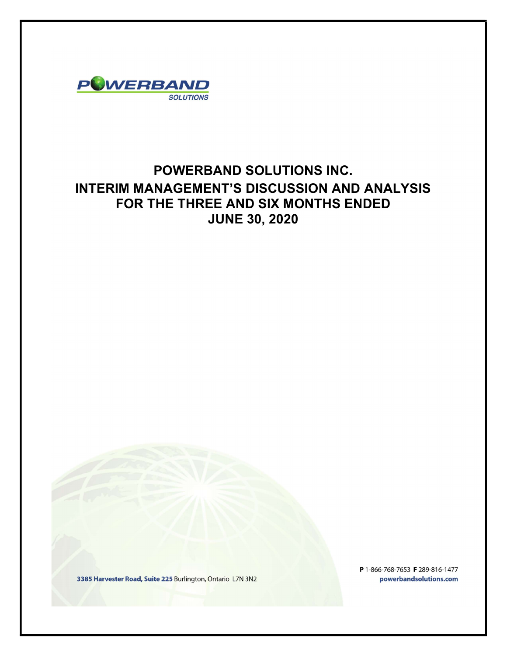

# POWERBAND SOLUTIONS INC. INTERIM MANAGEMENT'S DISCUSSION AND ANALYSIS FOR THE THREE AND SIX MONTHS ENDED JUNE 30, 2020

3385 Harvester Road, Suite 225 Burlington, Ontario L7N 3N2

P 1-866-768-7653 F 289-816-1477 powerbandsolutions.com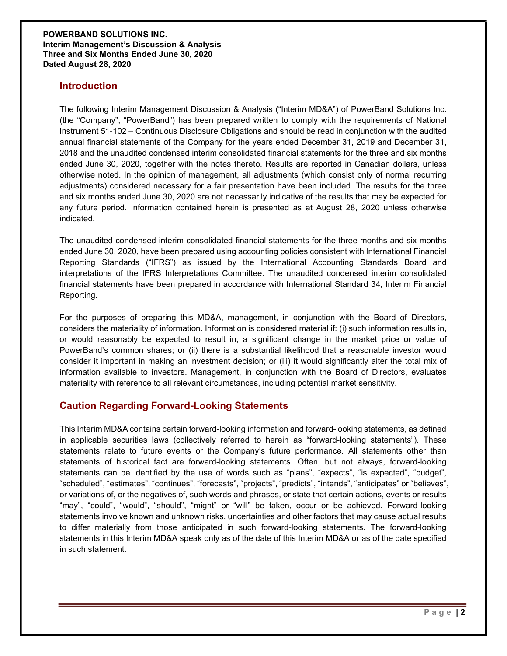### **Introduction**

The following Interim Management Discussion & Analysis ("Interim MD&A") of PowerBand Solutions Inc. (the "Company", "PowerBand") has been prepared written to comply with the requirements of National Instrument 51-102 – Continuous Disclosure Obligations and should be read in conjunction with the audited annual financial statements of the Company for the years ended December 31, 2019 and December 31, 2018 and the unaudited condensed interim consolidated financial statements for the three and six months ended June 30, 2020, together with the notes thereto. Results are reported in Canadian dollars, unless otherwise noted. In the opinion of management, all adjustments (which consist only of normal recurring adjustments) considered necessary for a fair presentation have been included. The results for the three and six months ended June 30, 2020 are not necessarily indicative of the results that may be expected for any future period. Information contained herein is presented as at August 28, 2020 unless otherwise indicated.

The unaudited condensed interim consolidated financial statements for the three months and six months ended June 30, 2020, have been prepared using accounting policies consistent with International Financial Reporting Standards ("IFRS") as issued by the International Accounting Standards Board and interpretations of the IFRS Interpretations Committee. The unaudited condensed interim consolidated financial statements have been prepared in accordance with International Standard 34, Interim Financial Reporting.

For the purposes of preparing this MD&A, management, in conjunction with the Board of Directors, considers the materiality of information. Information is considered material if: (i) such information results in, or would reasonably be expected to result in, a significant change in the market price or value of PowerBand's common shares; or (ii) there is a substantial likelihood that a reasonable investor would consider it important in making an investment decision; or (iii) it would significantly alter the total mix of information available to investors. Management, in conjunction with the Board of Directors, evaluates materiality with reference to all relevant circumstances, including potential market sensitivity.

# Caution Regarding Forward-Looking Statements

This Interim MD&A contains certain forward-looking information and forward-looking statements, as defined in applicable securities laws (collectively referred to herein as "forward-looking statements"). These statements relate to future events or the Company's future performance. All statements other than statements of historical fact are forward-looking statements. Often, but not always, forward-looking statements can be identified by the use of words such as "plans", "expects", "is expected", "budget", "scheduled", "estimates", "continues", "forecasts", "projects", "predicts", "intends", "anticipates" or "believes", or variations of, or the negatives of, such words and phrases, or state that certain actions, events or results "may", "could", "would", "should", "might" or "will" be taken, occur or be achieved. Forward-looking statements involve known and unknown risks, uncertainties and other factors that may cause actual results to differ materially from those anticipated in such forward-looking statements. The forward-looking statements in this Interim MD&A speak only as of the date of this Interim MD&A or as of the date specified in such statement.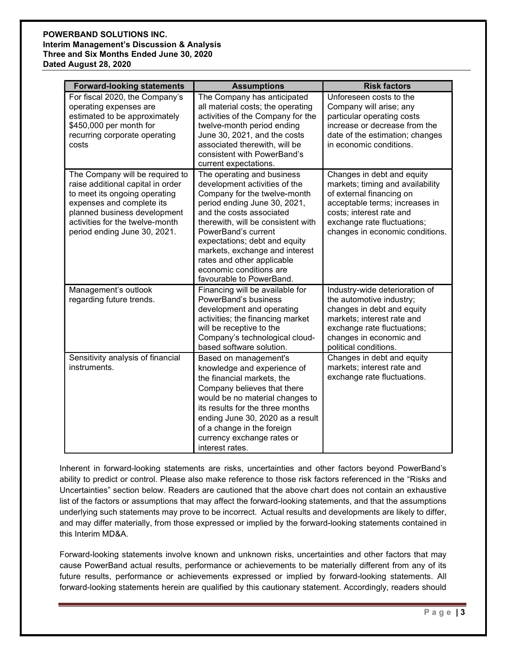### POWERBAND SOLUTIONS INC. Interim Management's Discussion & Analysis Three and Six Months Ended June 30, 2020 Dated August 28, 2020

| <b>Forward-looking statements</b>                                                                                                                                                                                                     | <b>Assumptions</b>                                                                                                                                                                                                                                                                                                                                                           | <b>Risk factors</b>                                                                                                                                                                                                        |
|---------------------------------------------------------------------------------------------------------------------------------------------------------------------------------------------------------------------------------------|------------------------------------------------------------------------------------------------------------------------------------------------------------------------------------------------------------------------------------------------------------------------------------------------------------------------------------------------------------------------------|----------------------------------------------------------------------------------------------------------------------------------------------------------------------------------------------------------------------------|
| For fiscal 2020, the Company's<br>operating expenses are<br>estimated to be approximately<br>\$450,000 per month for<br>recurring corporate operating<br>costs                                                                        | The Company has anticipated<br>all material costs; the operating<br>activities of the Company for the<br>twelve-month period ending<br>June 30, 2021, and the costs<br>associated therewith, will be<br>consistent with PowerBand's<br>current expectations.                                                                                                                 | Unforeseen costs to the<br>Company will arise; any<br>particular operating costs<br>increase or decrease from the<br>date of the estimation; changes<br>in economic conditions.                                            |
| The Company will be required to<br>raise additional capital in order<br>to meet its ongoing operating<br>expenses and complete its<br>planned business development<br>activities for the twelve-month<br>period ending June 30, 2021. | The operating and business<br>development activities of the<br>Company for the twelve-month<br>period ending June 30, 2021,<br>and the costs associated<br>therewith, will be consistent with<br>PowerBand's current<br>expectations; debt and equity<br>markets, exchange and interest<br>rates and other applicable<br>economic conditions are<br>favourable to PowerBand. | Changes in debt and equity<br>markets; timing and availability<br>of external financing on<br>acceptable terms; increases in<br>costs; interest rate and<br>exchange rate fluctuations;<br>changes in economic conditions. |
| Management's outlook<br>regarding future trends.                                                                                                                                                                                      | Financing will be available for<br>PowerBand's business<br>development and operating<br>activities; the financing market<br>will be receptive to the<br>Company's technological cloud-<br>based software solution.                                                                                                                                                           | Industry-wide deterioration of<br>the automotive industry;<br>changes in debt and equity<br>markets; interest rate and<br>exchange rate fluctuations;<br>changes in economic and<br>political conditions.                  |
| Sensitivity analysis of financial<br>instruments.                                                                                                                                                                                     | Based on management's<br>knowledge and experience of<br>the financial markets, the<br>Company believes that there<br>would be no material changes to<br>its results for the three months<br>ending June 30, 2020 as a result<br>of a change in the foreign<br>currency exchange rates or<br>interest rates.                                                                  | Changes in debt and equity<br>markets; interest rate and<br>exchange rate fluctuations.                                                                                                                                    |

Inherent in forward-looking statements are risks, uncertainties and other factors beyond PowerBand's ability to predict or control. Please also make reference to those risk factors referenced in the "Risks and Uncertainties" section below. Readers are cautioned that the above chart does not contain an exhaustive list of the factors or assumptions that may affect the forward-looking statements, and that the assumptions underlying such statements may prove to be incorrect. Actual results and developments are likely to differ, and may differ materially, from those expressed or implied by the forward-looking statements contained in this Interim MD&A.

Forward-looking statements involve known and unknown risks, uncertainties and other factors that may cause PowerBand actual results, performance or achievements to be materially different from any of its future results, performance or achievements expressed or implied by forward-looking statements. All forward-looking statements herein are qualified by this cautionary statement. Accordingly, readers should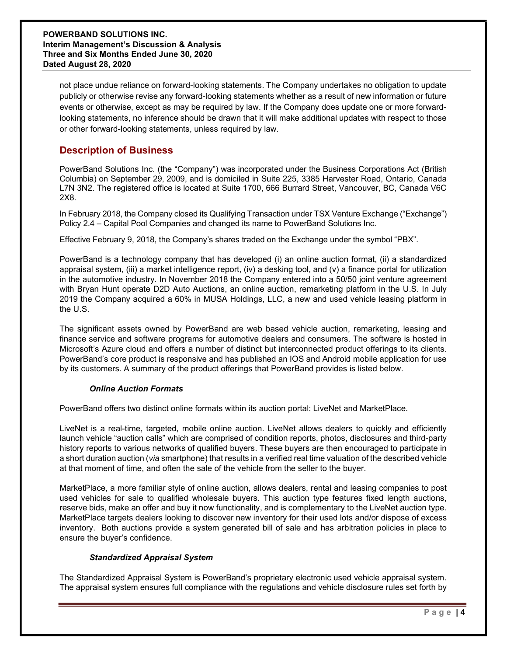not place undue reliance on forward-looking statements. The Company undertakes no obligation to update publicly or otherwise revise any forward-looking statements whether as a result of new information or future events or otherwise, except as may be required by law. If the Company does update one or more forwardlooking statements, no inference should be drawn that it will make additional updates with respect to those or other forward-looking statements, unless required by law.

## Description of Business

PowerBand Solutions Inc. (the "Company") was incorporated under the Business Corporations Act (British Columbia) on September 29, 2009, and is domiciled in Suite 225, 3385 Harvester Road, Ontario, Canada L7N 3N2. The registered office is located at Suite 1700, 666 Burrard Street, Vancouver, BC, Canada V6C 2X8.

In February 2018, the Company closed its Qualifying Transaction under TSX Venture Exchange ("Exchange") Policy 2.4 – Capital Pool Companies and changed its name to PowerBand Solutions Inc.

Effective February 9, 2018, the Company's shares traded on the Exchange under the symbol "PBX".

PowerBand is a technology company that has developed (i) an online auction format, (ii) a standardized appraisal system, (iii) a market intelligence report, (iv) a desking tool, and (v) a finance portal for utilization in the automotive industry. In November 2018 the Company entered into a 50/50 joint venture agreement with Bryan Hunt operate D2D Auto Auctions, an online auction, remarketing platform in the U.S. In July 2019 the Company acquired a 60% in MUSA Holdings, LLC, a new and used vehicle leasing platform in the U.S.

The significant assets owned by PowerBand are web based vehicle auction, remarketing, leasing and finance service and software programs for automotive dealers and consumers. The software is hosted in Microsoft's Azure cloud and offers a number of distinct but interconnected product offerings to its clients. PowerBand's core product is responsive and has published an IOS and Android mobile application for use by its customers. A summary of the product offerings that PowerBand provides is listed below.

### Online Auction Formats

PowerBand offers two distinct online formats within its auction portal: LiveNet and MarketPlace.

LiveNet is a real-time, targeted, mobile online auction. LiveNet allows dealers to quickly and efficiently launch vehicle "auction calls" which are comprised of condition reports, photos, disclosures and third-party history reports to various networks of qualified buyers. These buyers are then encouraged to participate in a short duration auction (via smartphone) that results in a verified real time valuation of the described vehicle at that moment of time, and often the sale of the vehicle from the seller to the buyer.

MarketPlace, a more familiar style of online auction, allows dealers, rental and leasing companies to post used vehicles for sale to qualified wholesale buyers. This auction type features fixed length auctions, reserve bids, make an offer and buy it now functionality, and is complementary to the LiveNet auction type. MarketPlace targets dealers looking to discover new inventory for their used lots and/or dispose of excess inventory. Both auctions provide a system generated bill of sale and has arbitration policies in place to ensure the buyer's confidence.

### Standardized Appraisal System

The Standardized Appraisal System is PowerBand's proprietary electronic used vehicle appraisal system. The appraisal system ensures full compliance with the regulations and vehicle disclosure rules set forth by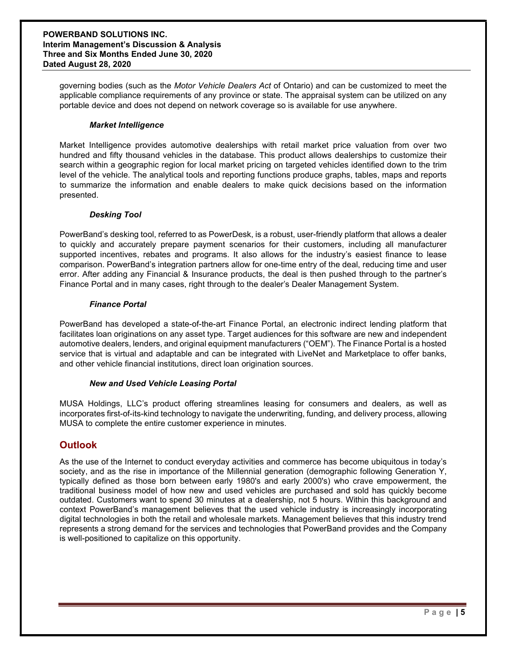governing bodies (such as the Motor Vehicle Dealers Act of Ontario) and can be customized to meet the applicable compliance requirements of any province or state. The appraisal system can be utilized on any portable device and does not depend on network coverage so is available for use anywhere.

### Market Intelligence

Market Intelligence provides automotive dealerships with retail market price valuation from over two hundred and fifty thousand vehicles in the database. This product allows dealerships to customize their search within a geographic region for local market pricing on targeted vehicles identified down to the trim level of the vehicle. The analytical tools and reporting functions produce graphs, tables, maps and reports to summarize the information and enable dealers to make quick decisions based on the information presented.

### Desking Tool

PowerBand's desking tool, referred to as PowerDesk, is a robust, user-friendly platform that allows a dealer to quickly and accurately prepare payment scenarios for their customers, including all manufacturer supported incentives, rebates and programs. It also allows for the industry's easiest finance to lease comparison. PowerBand's integration partners allow for one-time entry of the deal, reducing time and user error. After adding any Financial & Insurance products, the deal is then pushed through to the partner's Finance Portal and in many cases, right through to the dealer's Dealer Management System.

### Finance Portal

PowerBand has developed a state-of-the-art Finance Portal, an electronic indirect lending platform that facilitates loan originations on any asset type. Target audiences for this software are new and independent automotive dealers, lenders, and original equipment manufacturers ("OEM"). The Finance Portal is a hosted service that is virtual and adaptable and can be integrated with LiveNet and Marketplace to offer banks, and other vehicle financial institutions, direct loan origination sources.

### New and Used Vehicle Leasing Portal

MUSA Holdings, LLC's product offering streamlines leasing for consumers and dealers, as well as incorporates first-of-its-kind technology to navigate the underwriting, funding, and delivery process, allowing MUSA to complete the entire customer experience in minutes.

### **Outlook**

As the use of the Internet to conduct everyday activities and commerce has become ubiquitous in today's society, and as the rise in importance of the Millennial generation (demographic following Generation Y, typically defined as those born between early 1980's and early 2000's) who crave empowerment, the traditional business model of how new and used vehicles are purchased and sold has quickly become outdated. Customers want to spend 30 minutes at a dealership, not 5 hours. Within this background and context PowerBand's management believes that the used vehicle industry is increasingly incorporating digital technologies in both the retail and wholesale markets. Management believes that this industry trend represents a strong demand for the services and technologies that PowerBand provides and the Company is well-positioned to capitalize on this opportunity.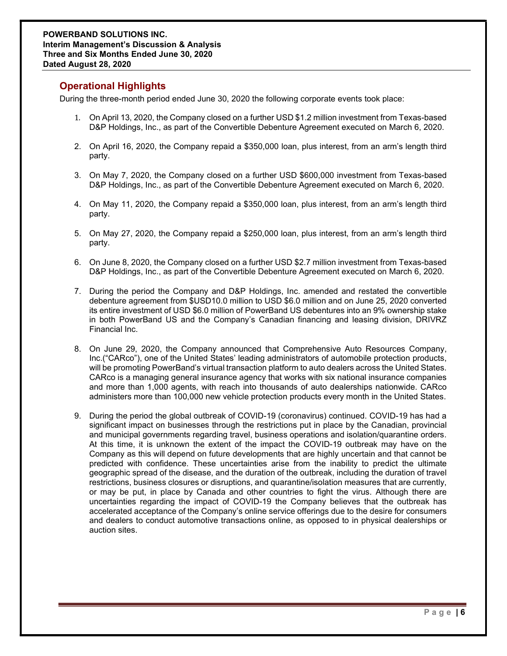# Operational Highlights

During the three-month period ended June 30, 2020 the following corporate events took place:

- 1. On April 13, 2020, the Company closed on a further USD \$1.2 million investment from Texas-based D&P Holdings, Inc., as part of the Convertible Debenture Agreement executed on March 6, 2020.
- 2. On April 16, 2020, the Company repaid a \$350,000 loan, plus interest, from an arm's length third party.
- 3. On May 7, 2020, the Company closed on a further USD \$600,000 investment from Texas-based D&P Holdings, Inc., as part of the Convertible Debenture Agreement executed on March 6, 2020.
- 4. On May 11, 2020, the Company repaid a \$350,000 loan, plus interest, from an arm's length third party.
- 5. On May 27, 2020, the Company repaid a \$250,000 loan, plus interest, from an arm's length third party.
- 6. On June 8, 2020, the Company closed on a further USD \$2.7 million investment from Texas-based D&P Holdings, Inc., as part of the Convertible Debenture Agreement executed on March 6, 2020.
- 7. During the period the Company and D&P Holdings, Inc. amended and restated the convertible debenture agreement from \$USD10.0 million to USD \$6.0 million and on June 25, 2020 converted its entire investment of USD \$6.0 million of PowerBand US debentures into an 9% ownership stake in both PowerBand US and the Company's Canadian financing and leasing division, DRIVRZ Financial Inc.
- 8. On June 29, 2020, the Company announced that Comprehensive Auto Resources Company, Inc.("CARco"), one of the United States' leading administrators of automobile protection products, will be promoting PowerBand's virtual transaction platform to auto dealers across the United States. CARco is a managing general insurance agency that works with six national insurance companies and more than 1,000 agents, with reach into thousands of auto dealerships nationwide. CARco administers more than 100,000 new vehicle protection products every month in the United States.
- 9. During the period the global outbreak of COVID-19 (coronavirus) continued. COVID-19 has had a significant impact on businesses through the restrictions put in place by the Canadian, provincial and municipal governments regarding travel, business operations and isolation/quarantine orders. At this time, it is unknown the extent of the impact the COVID-19 outbreak may have on the Company as this will depend on future developments that are highly uncertain and that cannot be predicted with confidence. These uncertainties arise from the inability to predict the ultimate geographic spread of the disease, and the duration of the outbreak, including the duration of travel restrictions, business closures or disruptions, and quarantine/isolation measures that are currently, or may be put, in place by Canada and other countries to fight the virus. Although there are uncertainties regarding the impact of COVID-19 the Company believes that the outbreak has accelerated acceptance of the Company's online service offerings due to the desire for consumers and dealers to conduct automotive transactions online, as opposed to in physical dealerships or auction sites.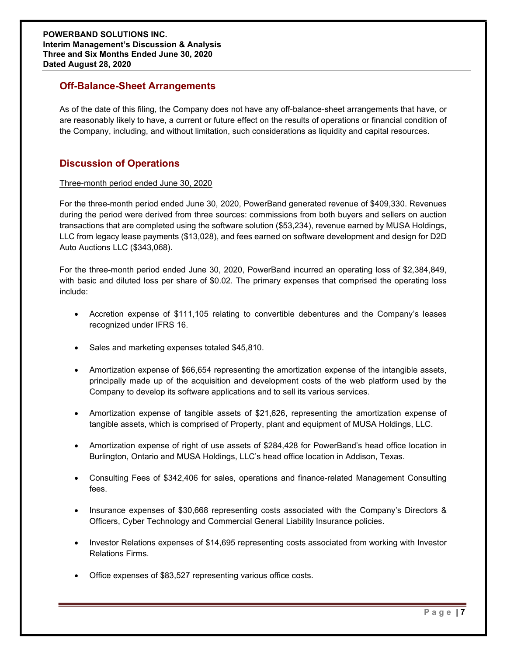## Off-Balance-Sheet Arrangements

As of the date of this filing, the Company does not have any off-balance-sheet arrangements that have, or are reasonably likely to have, a current or future effect on the results of operations or financial condition of the Company, including, and without limitation, such considerations as liquidity and capital resources.

# Discussion of Operations

### Three-month period ended June 30, 2020

For the three-month period ended June 30, 2020, PowerBand generated revenue of \$409,330. Revenues during the period were derived from three sources: commissions from both buyers and sellers on auction transactions that are completed using the software solution (\$53,234), revenue earned by MUSA Holdings, LLC from legacy lease payments (\$13,028), and fees earned on software development and design for D2D Auto Auctions LLC (\$343,068).

For the three-month period ended June 30, 2020, PowerBand incurred an operating loss of \$2,384,849, with basic and diluted loss per share of \$0.02. The primary expenses that comprised the operating loss include:

- Accretion expense of \$111,105 relating to convertible debentures and the Company's leases recognized under IFRS 16.
- Sales and marketing expenses totaled \$45,810.
- Amortization expense of \$66,654 representing the amortization expense of the intangible assets, principally made up of the acquisition and development costs of the web platform used by the Company to develop its software applications and to sell its various services.
- Amortization expense of tangible assets of \$21,626, representing the amortization expense of tangible assets, which is comprised of Property, plant and equipment of MUSA Holdings, LLC.
- Amortization expense of right of use assets of \$284,428 for PowerBand's head office location in Burlington, Ontario and MUSA Holdings, LLC's head office location in Addison, Texas.
- Consulting Fees of \$342,406 for sales, operations and finance-related Management Consulting fees.
- Insurance expenses of \$30,668 representing costs associated with the Company's Directors & Officers, Cyber Technology and Commercial General Liability Insurance policies.
- Investor Relations expenses of \$14,695 representing costs associated from working with Investor Relations Firms.
- Office expenses of \$83,527 representing various office costs.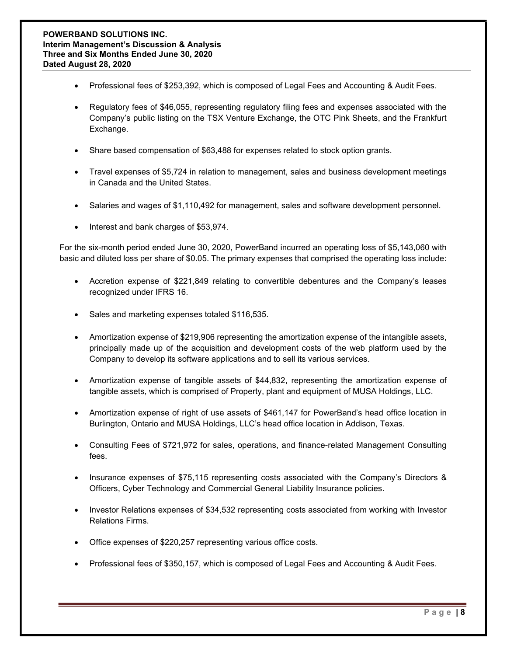- Professional fees of \$253,392, which is composed of Legal Fees and Accounting & Audit Fees.
- Regulatory fees of \$46,055, representing regulatory filing fees and expenses associated with the Company's public listing on the TSX Venture Exchange, the OTC Pink Sheets, and the Frankfurt Exchange.
- Share based compensation of \$63,488 for expenses related to stock option grants.
- Travel expenses of \$5,724 in relation to management, sales and business development meetings in Canada and the United States.
- Salaries and wages of \$1,110,492 for management, sales and software development personnel.
- Interest and bank charges of \$53,974.

For the six-month period ended June 30, 2020, PowerBand incurred an operating loss of \$5,143,060 with basic and diluted loss per share of \$0.05. The primary expenses that comprised the operating loss include:

- Accretion expense of \$221,849 relating to convertible debentures and the Company's leases recognized under IFRS 16.
- Sales and marketing expenses totaled \$116,535.
- Amortization expense of \$219,906 representing the amortization expense of the intangible assets, principally made up of the acquisition and development costs of the web platform used by the Company to develop its software applications and to sell its various services.
- Amortization expense of tangible assets of \$44,832, representing the amortization expense of tangible assets, which is comprised of Property, plant and equipment of MUSA Holdings, LLC.
- Amortization expense of right of use assets of \$461,147 for PowerBand's head office location in Burlington, Ontario and MUSA Holdings, LLC's head office location in Addison, Texas.
- Consulting Fees of \$721,972 for sales, operations, and finance-related Management Consulting fees.
- Insurance expenses of \$75,115 representing costs associated with the Company's Directors & Officers, Cyber Technology and Commercial General Liability Insurance policies.
- Investor Relations expenses of \$34,532 representing costs associated from working with Investor Relations Firms.
- Office expenses of \$220,257 representing various office costs.
- Professional fees of \$350,157, which is composed of Legal Fees and Accounting & Audit Fees.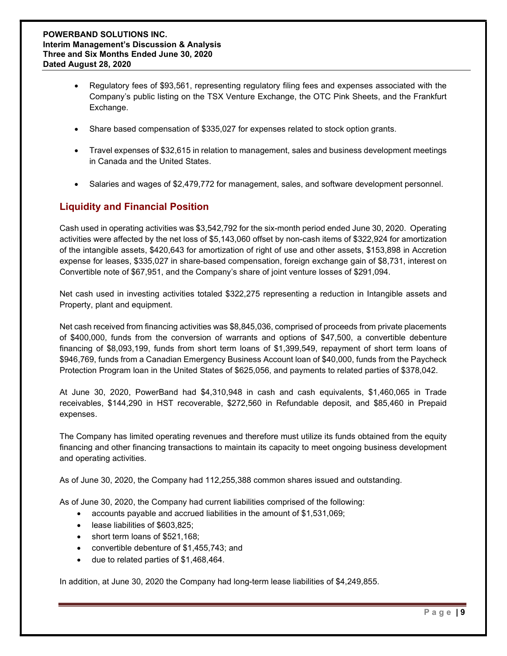- Regulatory fees of \$93,561, representing regulatory filing fees and expenses associated with the Company's public listing on the TSX Venture Exchange, the OTC Pink Sheets, and the Frankfurt Exchange.
- Share based compensation of \$335,027 for expenses related to stock option grants.
- Travel expenses of \$32,615 in relation to management, sales and business development meetings in Canada and the United States.
- Salaries and wages of \$2,479,772 for management, sales, and software development personnel.

# Liquidity and Financial Position

Cash used in operating activities was \$3,542,792 for the six-month period ended June 30, 2020. Operating activities were affected by the net loss of \$5,143,060 offset by non-cash items of \$322,924 for amortization of the intangible assets, \$420,643 for amortization of right of use and other assets, \$153,898 in Accretion expense for leases, \$335,027 in share-based compensation, foreign exchange gain of \$8,731, interest on Convertible note of \$67,951, and the Company's share of joint venture losses of \$291,094.

Net cash used in investing activities totaled \$322,275 representing a reduction in Intangible assets and Property, plant and equipment.

Net cash received from financing activities was \$8,845,036, comprised of proceeds from private placements of \$400,000, funds from the conversion of warrants and options of \$47,500, a convertible debenture financing of \$8,093,199, funds from short term loans of \$1,399,549, repayment of short term loans of \$946,769, funds from a Canadian Emergency Business Account loan of \$40,000, funds from the Paycheck Protection Program loan in the United States of \$625,056, and payments to related parties of \$378,042.

At June 30, 2020, PowerBand had \$4,310,948 in cash and cash equivalents, \$1,460,065 in Trade receivables, \$144,290 in HST recoverable, \$272,560 in Refundable deposit, and \$85,460 in Prepaid expenses.

The Company has limited operating revenues and therefore must utilize its funds obtained from the equity financing and other financing transactions to maintain its capacity to meet ongoing business development and operating activities.

As of June 30, 2020, the Company had 112,255,388 common shares issued and outstanding.

As of June 30, 2020, the Company had current liabilities comprised of the following:

- accounts payable and accrued liabilities in the amount of \$1,531,069;
- lease liabilities of \$603,825;
- short term loans of \$521,168;
- convertible debenture of \$1,455,743; and
- due to related parties of \$1,468,464.

In addition, at June 30, 2020 the Company had long-term lease liabilities of \$4,249,855.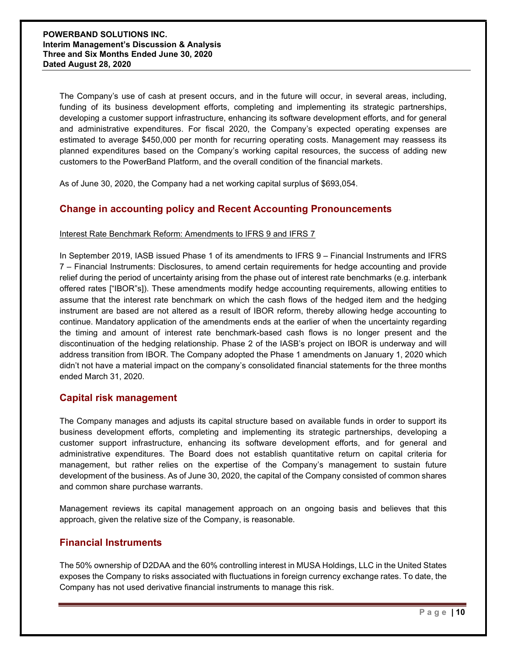The Company's use of cash at present occurs, and in the future will occur, in several areas, including, funding of its business development efforts, completing and implementing its strategic partnerships, developing a customer support infrastructure, enhancing its software development efforts, and for general and administrative expenditures. For fiscal 2020, the Company's expected operating expenses are estimated to average \$450,000 per month for recurring operating costs. Management may reassess its planned expenditures based on the Company's working capital resources, the success of adding new customers to the PowerBand Platform, and the overall condition of the financial markets.

As of June 30, 2020, the Company had a net working capital surplus of \$693,054.

### Change in accounting policy and Recent Accounting Pronouncements

#### Interest Rate Benchmark Reform: Amendments to IFRS 9 and IFRS 7

In September 2019, IASB issued Phase 1 of its amendments to IFRS 9 – Financial Instruments and IFRS 7 – Financial Instruments: Disclosures, to amend certain requirements for hedge accounting and provide relief during the period of uncertainty arising from the phase out of interest rate benchmarks (e.g. interbank offered rates ["IBOR"s]). These amendments modify hedge accounting requirements, allowing entities to assume that the interest rate benchmark on which the cash flows of the hedged item and the hedging instrument are based are not altered as a result of IBOR reform, thereby allowing hedge accounting to continue. Mandatory application of the amendments ends at the earlier of when the uncertainty regarding the timing and amount of interest rate benchmark-based cash flows is no longer present and the discontinuation of the hedging relationship. Phase 2 of the IASB's project on IBOR is underway and will address transition from IBOR. The Company adopted the Phase 1 amendments on January 1, 2020 which didn't not have a material impact on the company's consolidated financial statements for the three months ended March 31, 2020.

### Capital risk management

The Company manages and adjusts its capital structure based on available funds in order to support its business development efforts, completing and implementing its strategic partnerships, developing a customer support infrastructure, enhancing its software development efforts, and for general and administrative expenditures. The Board does not establish quantitative return on capital criteria for management, but rather relies on the expertise of the Company's management to sustain future development of the business. As of June 30, 2020, the capital of the Company consisted of common shares and common share purchase warrants.

Management reviews its capital management approach on an ongoing basis and believes that this approach, given the relative size of the Company, is reasonable.

### Financial Instruments

The 50% ownership of D2DAA and the 60% controlling interest in MUSA Holdings, LLC in the United States exposes the Company to risks associated with fluctuations in foreign currency exchange rates. To date, the Company has not used derivative financial instruments to manage this risk.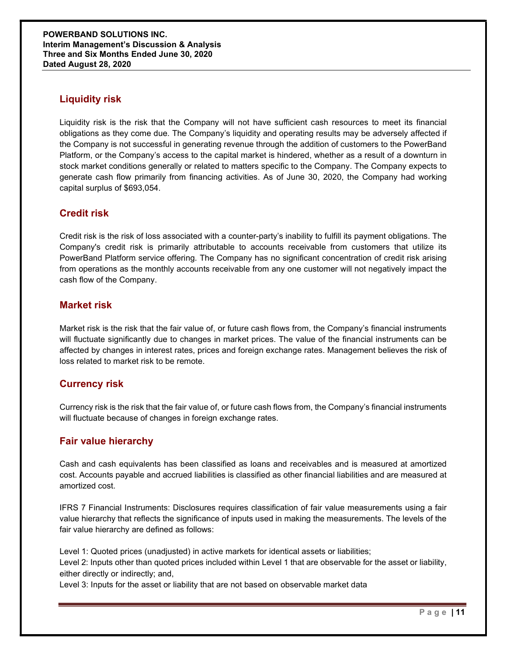# Liquidity risk

Liquidity risk is the risk that the Company will not have sufficient cash resources to meet its financial obligations as they come due. The Company's liquidity and operating results may be adversely affected if the Company is not successful in generating revenue through the addition of customers to the PowerBand Platform, or the Company's access to the capital market is hindered, whether as a result of a downturn in stock market conditions generally or related to matters specific to the Company. The Company expects to generate cash flow primarily from financing activities. As of June 30, 2020, the Company had working capital surplus of \$693,054.

# Credit risk

Credit risk is the risk of loss associated with a counter-party's inability to fulfill its payment obligations. The Company's credit risk is primarily attributable to accounts receivable from customers that utilize its PowerBand Platform service offering. The Company has no significant concentration of credit risk arising from operations as the monthly accounts receivable from any one customer will not negatively impact the cash flow of the Company.

### Market risk

Market risk is the risk that the fair value of, or future cash flows from, the Company's financial instruments will fluctuate significantly due to changes in market prices. The value of the financial instruments can be affected by changes in interest rates, prices and foreign exchange rates. Management believes the risk of loss related to market risk to be remote.

### Currency risk

Currency risk is the risk that the fair value of, or future cash flows from, the Company's financial instruments will fluctuate because of changes in foreign exchange rates.

### Fair value hierarchy

Cash and cash equivalents has been classified as loans and receivables and is measured at amortized cost. Accounts payable and accrued liabilities is classified as other financial liabilities and are measured at amortized cost.

IFRS 7 Financial Instruments: Disclosures requires classification of fair value measurements using a fair value hierarchy that reflects the significance of inputs used in making the measurements. The levels of the fair value hierarchy are defined as follows:

Level 1: Quoted prices (unadjusted) in active markets for identical assets or liabilities; Level 2: Inputs other than quoted prices included within Level 1 that are observable for the asset or liability, either directly or indirectly; and,

Level 3: Inputs for the asset or liability that are not based on observable market data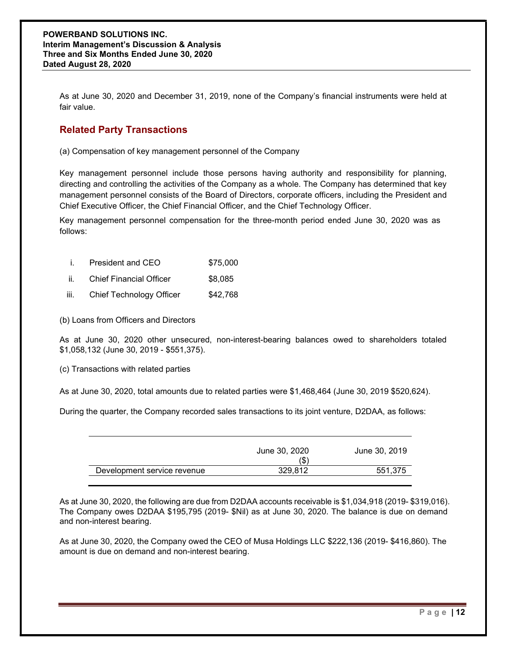As at June 30, 2020 and December 31, 2019, none of the Company's financial instruments were held at fair value.

# Related Party Transactions

(a) Compensation of key management personnel of the Company

Key management personnel include those persons having authority and responsibility for planning, directing and controlling the activities of the Company as a whole. The Company has determined that key management personnel consists of the Board of Directors, corporate officers, including the President and Chief Executive Officer, the Chief Financial Officer, and the Chief Technology Officer.

Key management personnel compensation for the three-month period ended June 30, 2020 was as follows:

|  | President and CEO | \$75,000 |
|--|-------------------|----------|
|--|-------------------|----------|

- ii. Chief Financial Officer \$8,085
- iii. Chief Technology Officer \$42,768

(b) Loans from Officers and Directors

As at June 30, 2020 other unsecured, non-interest-bearing balances owed to shareholders totaled \$1,058,132 (June 30, 2019 - \$551,375).

(c) Transactions with related parties

As at June 30, 2020, total amounts due to related parties were \$1,468,464 (June 30, 2019 \$520,624).

During the quarter, the Company recorded sales transactions to its joint venture, D2DAA, as follows:

|                             | June 30, 2020<br>(\$ | June 30, 2019 |
|-----------------------------|----------------------|---------------|
| Development service revenue | 329.812              | 551,375       |
|                             |                      |               |

As at June 30, 2020, the following are due from D2DAA accounts receivable is \$1,034,918 (2019- \$319,016). The Company owes D2DAA \$195,795 (2019- \$Nil) as at June 30, 2020. The balance is due on demand and non-interest bearing.

As at June 30, 2020, the Company owed the CEO of Musa Holdings LLC \$222,136 (2019- \$416,860). The amount is due on demand and non-interest bearing.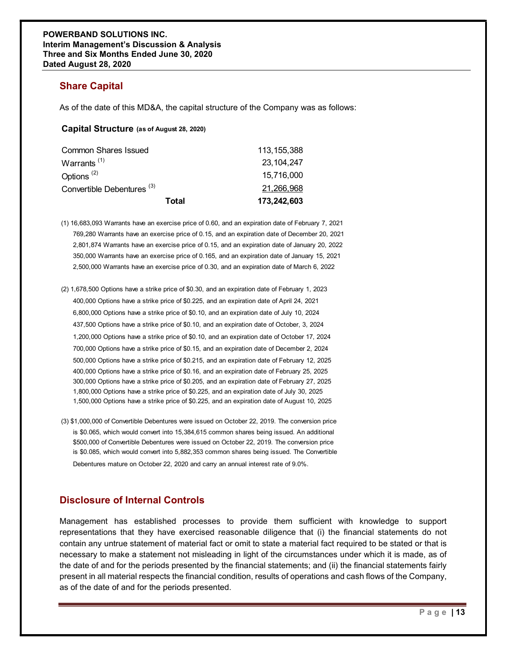# Share Capital

### Capital Structure (as of August 28, 2020)

| <b>/ERBAND SOLUTIONS INC.</b><br>im Management's Discussion & Analysis<br>e and Six Months Ended June 30, 2020<br>d August 28, 2020 |               |  |
|-------------------------------------------------------------------------------------------------------------------------------------|---------------|--|
| <b>Share Capital</b>                                                                                                                |               |  |
| As of the date of this MD&A, the capital structure of the Company was as follows:                                                   |               |  |
| Capital Structure (as of August 28, 2020)                                                                                           |               |  |
| <b>Common Shares Issued</b>                                                                                                         | 113, 155, 388 |  |
| Warrants <sup>(1)</sup>                                                                                                             | 23, 104, 247  |  |
| Options <sup>(2)</sup>                                                                                                              | 15,716,000    |  |
| Convertible Debentures <sup>(3)</sup>                                                                                               | 21,266,968    |  |
|                                                                                                                                     |               |  |

- (1) 16,683,093 Warrants have an exercise price of 0.60, and an expiration date of February 7, 2021 769,280 Warrants have an exercise price of 0.15, and an expiration date of December 20, 2021 2,801,874 Warrants have an exercise price of 0.15, and an expiration date of January 20, 2022 350,000 Warrants have an exercise price of 0.165, and an expiration date of January 15, 2021 2,500,000 Warrants have an exercise price of 0.30, and an expiration date of March 6, 2022
- (2) 1,678,500 Options have a strike price of \$0.30, and an expiration date of February 1, 2023 400,000 Options have a strike price of \$0.225, and an expiration date of April 24, 2021 6,800,000 Options have a strike price of \$0.10, and an expiration date of July 10, 2024 437,500 Options have a strike price of \$0.10, and an expiration date of October, 3, 2024 1,200,000 Options have a strike price of \$0.10, and an expiration date of October 17, 2024 700,000 Options have a strike price of \$0.15, and an expiration date of December 2, 2024 500,000 Options have a strike price of \$0.215, and an expiration date of February 12, 2025 400,000 Options have a strike price of \$0.16, and an expiration date of February 25, 2025 300,000 Options have a strike price of \$0.205, and an expiration date of February 27, 2025 1,800,000 Options have a strike price of \$0.225, and an expiration date of July 30, 2025 1,500,000 Options have a strike price of \$0.225, and an expiration date of August 10, 2025
- (3) \$1,000,000 of Convertible Debentures were issued on October 22, 2019. The conversion price is \$0.065, which would convert into 15,384,615 common shares being issued. An additional \$500,000 of Convertible Debentures were issued on October 22, 2019. The conversion price is \$0.085, which would convert into 5,882,353 common shares being issued. The Convertible Debentures mature on October 22, 2020 and carry an annual interest rate of 9.0%.

# Disclosure of Internal Controls

Management has established processes to provide them sufficient with knowledge to support representations that they have exercised reasonable diligence that (i) the financial statements do not contain any untrue statement of material fact or omit to state a material fact required to be stated or that is necessary to make a statement not misleading in light of the circumstances under which it is made, as of the date of and for the periods presented by the financial statements; and (ii) the financial statements fairly present in all material respects the financial condition, results of operations and cash flows of the Company, as of the date of and for the periods presented.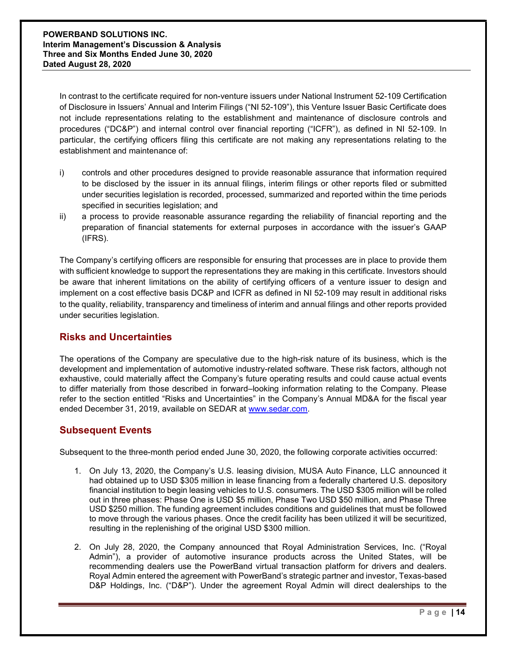In contrast to the certificate required for non-venture issuers under National Instrument 52-109 Certification of Disclosure in Issuers' Annual and Interim Filings ("NI 52-109"), this Venture Issuer Basic Certificate does not include representations relating to the establishment and maintenance of disclosure controls and procedures ("DC&P") and internal control over financial reporting ("ICFR"), as defined in NI 52-109. In particular, the certifying officers filing this certificate are not making any representations relating to the establishment and maintenance of:

- i) controls and other procedures designed to provide reasonable assurance that information required to be disclosed by the issuer in its annual filings, interim filings or other reports filed or submitted under securities legislation is recorded, processed, summarized and reported within the time periods specified in securities legislation; and
- ii) a process to provide reasonable assurance regarding the reliability of financial reporting and the preparation of financial statements for external purposes in accordance with the issuer's GAAP (IFRS).

The Company's certifying officers are responsible for ensuring that processes are in place to provide them with sufficient knowledge to support the representations they are making in this certificate. Investors should be aware that inherent limitations on the ability of certifying officers of a venture issuer to design and implement on a cost effective basis DC&P and ICFR as defined in NI 52-109 may result in additional risks to the quality, reliability, transparency and timeliness of interim and annual filings and other reports provided under securities legislation.

# Risks and Uncertainties

The operations of the Company are speculative due to the high-risk nature of its business, which is the development and implementation of automotive industry-related software. These risk factors, although not exhaustive, could materially affect the Company's future operating results and could cause actual events to differ materially from those described in forward–looking information relating to the Company. Please refer to the section entitled "Risks and Uncertainties" in the Company's Annual MD&A for the fiscal year ended December 31, 2019, available on SEDAR at www.sedar.com.

# Subsequent Events

Subsequent to the three-month period ended June 30, 2020, the following corporate activities occurred:

- 1. On July 13, 2020, the Company's U.S. leasing division, MUSA Auto Finance, LLC announced it had obtained up to USD \$305 million in lease financing from a federally chartered U.S. depository financial institution to begin leasing vehicles to U.S. consumers. The USD \$305 million will be rolled out in three phases: Phase One is USD \$5 million, Phase Two USD \$50 million, and Phase Three USD \$250 million. The funding agreement includes conditions and guidelines that must be followed to move through the various phases. Once the credit facility has been utilized it will be securitized, resulting in the replenishing of the original USD \$300 million.
- 2. On July 28, 2020, the Company announced that Royal Administration Services, Inc. ("Royal Admin"), a provider of automotive insurance products across the United States, will be recommending dealers use the PowerBand virtual transaction platform for drivers and dealers. Royal Admin entered the agreement with PowerBand's strategic partner and investor, Texas-based D&P Holdings, Inc. ("D&P"). Under the agreement Royal Admin will direct dealerships to the